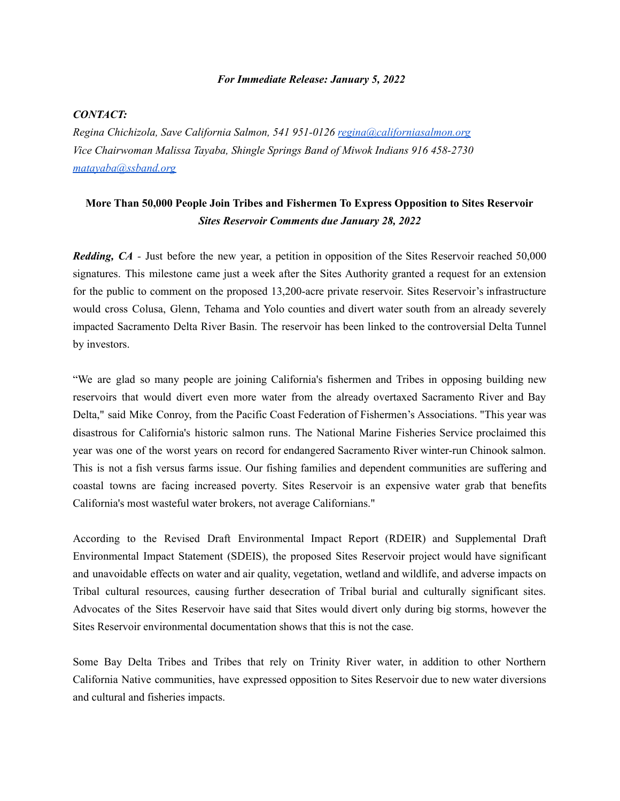## *For Immediate Release: January 5, 2022*

## *CONTACT:*

*Regina Chichizola, Save California Salmon, 541 951-0126 regina@californiasalmon.org Vice Chairwoman Malissa Tayaba, Shingle Springs Band of Miwok Indians 916 458-2730 matayaba@ssband.org*

## **More Than 50,000 People Join Tribes and Fishermen To Express Opposition to Sites Reservoir** *Sites Reservoir Comments due January 28, 2022*

*Redding, CA -* Just before the new year, a petition in opposition of the Sites Reservoir reached 50,000 signatures. This milestone came just a week after the Sites Authority granted a request for an extension for the public to comment on the proposed 13,200-acre private reservoir. Sites Reservoir's infrastructure would cross Colusa, Glenn, Tehama and Yolo counties and divert water south from an already severely impacted Sacramento Delta River Basin. The reservoir has been linked to the controversial Delta Tunnel by investors.

"We are glad so many people are joining California's fishermen and Tribes in opposing building new reservoirs that would divert even more water from the already overtaxed Sacramento River and Bay Delta," said Mike Conroy, from the Pacific Coast Federation of Fishermen's Associations. "This year was disastrous for California's historic salmon runs. The National Marine Fisheries Service proclaimed this year was one of the worst years on record for endangered Sacramento River winter-run Chinook salmon. This is not a fish versus farms issue. Our fishing families and dependent communities are suffering and coastal towns are facing increased poverty. Sites Reservoir is an expensive water grab that benefits California's most wasteful water brokers, not average Californians."

According to the Revised Draft Environmental Impact Report (RDEIR) and Supplemental Draft Environmental Impact Statement (SDEIS), the proposed Sites Reservoir project would have significant and unavoidable effects on water and air quality, vegetation, wetland and wildlife, and adverse impacts on Tribal cultural resources, causing further desecration of Tribal burial and culturally significant sites. Advocates of the Sites Reservoir have said that Sites would divert only during big storms, however the Sites Reservoir environmental documentation shows that this is not the case.

Some Bay Delta Tribes and Tribes that rely on Trinity River water, in addition to other Northern California Native communities, have expressed opposition to Sites Reservoir due to new water diversions and cultural and fisheries impacts.